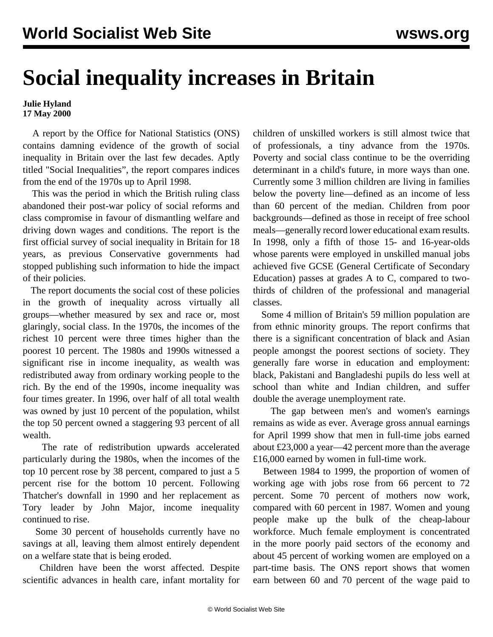## **Social inequality increases in Britain**

## **Julie Hyland 17 May 2000**

 A report by the Office for National Statistics (ONS) contains damning evidence of the growth of social inequality in Britain over the last few decades. Aptly titled "Social Inequalities", the report compares indices from the end of the 1970s up to April 1998.

 This was the period in which the British ruling class abandoned their post-war policy of social reforms and class compromise in favour of dismantling welfare and driving down wages and conditions. The report is the first official survey of social inequality in Britain for 18 years, as previous Conservative governments had stopped publishing such information to hide the impact of their policies.

 The report documents the social cost of these policies in the growth of inequality across virtually all groups—whether measured by sex and race or, most glaringly, social class. In the 1970s, the incomes of the richest 10 percent were three times higher than the poorest 10 percent. The 1980s and 1990s witnessed a significant rise in income inequality, as wealth was redistributed away from ordinary working people to the rich. By the end of the 1990s, income inequality was four times greater. In 1996, over half of all total wealth was owned by just 10 percent of the population, whilst the top 50 percent owned a staggering 93 percent of all wealth.

 The rate of redistribution upwards accelerated particularly during the 1980s, when the incomes of the top 10 percent rose by 38 percent, compared to just a 5 percent rise for the bottom 10 percent. Following Thatcher's downfall in 1990 and her replacement as Tory leader by John Major, income inequality continued to rise.

 Some 30 percent of households currently have no savings at all, leaving them almost entirely dependent on a welfare state that is being eroded.

 Children have been the worst affected. Despite scientific advances in health care, infant mortality for children of unskilled workers is still almost twice that of professionals, a tiny advance from the 1970s. Poverty and social class continue to be the overriding determinant in a child's future, in more ways than one. Currently some 3 million children are living in families below the poverty line—defined as an income of less than 60 percent of the median. Children from poor backgrounds—defined as those in receipt of free school meals—generally record lower educational exam results. In 1998, only a fifth of those 15- and 16-year-olds whose parents were employed in unskilled manual jobs achieved five GCSE (General Certificate of Secondary Education) passes at grades A to C, compared to twothirds of children of the professional and managerial classes.

 Some 4 million of Britain's 59 million population are from ethnic minority groups. The report confirms that there is a significant concentration of black and Asian people amongst the poorest sections of society. They generally fare worse in education and employment: black, Pakistani and Bangladeshi pupils do less well at school than white and Indian children, and suffer double the average unemployment rate.

 The gap between men's and women's earnings remains as wide as ever. Average gross annual earnings for April 1999 show that men in full-time jobs earned about £23,000 a year—42 percent more than the average £16,000 earned by women in full-time work.

 Between 1984 to 1999, the proportion of women of working age with jobs rose from 66 percent to 72 percent. Some 70 percent of mothers now work, compared with 60 percent in 1987. Women and young people make up the bulk of the cheap-labour workforce. Much female employment is concentrated in the more poorly paid sectors of the economy and about 45 percent of working women are employed on a part-time basis. The ONS report shows that women earn between 60 and 70 percent of the wage paid to